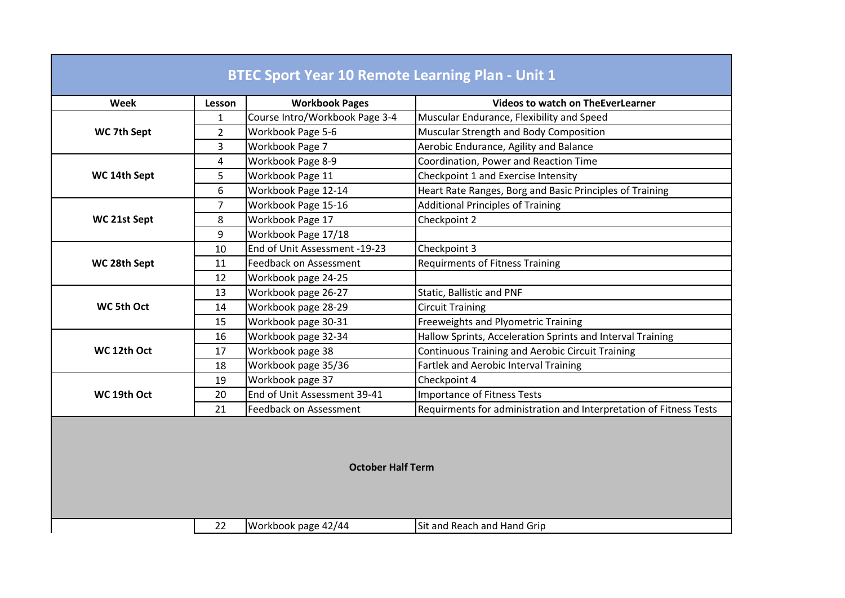| $\mathbf{1}$<br>WC 7th Sept<br>$\overline{2}$<br>3<br>Workbook Page 7<br>4<br>5<br>Workbook Page 11<br>WC 14th Sept<br>6<br>$\overline{7}$<br>Workbook Page 17<br>WC 21st Sept<br>8<br>9<br>10<br>WC 28th Sept<br>11<br>12<br>13 | Course Intro/Workbook Page 3-4<br>Workbook Page 5-6<br>Workbook Page 8-9<br>Workbook Page 12-14<br>Workbook Page 15-16<br>Workbook Page 17/18<br>End of Unit Assessment -19-23<br>Feedback on Assessment | Muscular Endurance, Flexibility and Speed<br>Muscular Strength and Body Composition<br>Aerobic Endurance, Agility and Balance<br>Coordination, Power and Reaction Time<br>Checkpoint 1 and Exercise Intensity<br>Heart Rate Ranges, Borg and Basic Principles of Training<br><b>Additional Principles of Training</b><br>Checkpoint 2<br>Checkpoint 3 |
|----------------------------------------------------------------------------------------------------------------------------------------------------------------------------------------------------------------------------------|----------------------------------------------------------------------------------------------------------------------------------------------------------------------------------------------------------|-------------------------------------------------------------------------------------------------------------------------------------------------------------------------------------------------------------------------------------------------------------------------------------------------------------------------------------------------------|
|                                                                                                                                                                                                                                  |                                                                                                                                                                                                          |                                                                                                                                                                                                                                                                                                                                                       |
|                                                                                                                                                                                                                                  |                                                                                                                                                                                                          |                                                                                                                                                                                                                                                                                                                                                       |
|                                                                                                                                                                                                                                  |                                                                                                                                                                                                          |                                                                                                                                                                                                                                                                                                                                                       |
|                                                                                                                                                                                                                                  |                                                                                                                                                                                                          |                                                                                                                                                                                                                                                                                                                                                       |
|                                                                                                                                                                                                                                  |                                                                                                                                                                                                          |                                                                                                                                                                                                                                                                                                                                                       |
|                                                                                                                                                                                                                                  |                                                                                                                                                                                                          |                                                                                                                                                                                                                                                                                                                                                       |
|                                                                                                                                                                                                                                  |                                                                                                                                                                                                          |                                                                                                                                                                                                                                                                                                                                                       |
|                                                                                                                                                                                                                                  |                                                                                                                                                                                                          |                                                                                                                                                                                                                                                                                                                                                       |
|                                                                                                                                                                                                                                  |                                                                                                                                                                                                          |                                                                                                                                                                                                                                                                                                                                                       |
|                                                                                                                                                                                                                                  |                                                                                                                                                                                                          |                                                                                                                                                                                                                                                                                                                                                       |
|                                                                                                                                                                                                                                  |                                                                                                                                                                                                          | <b>Requirments of Fitness Training</b>                                                                                                                                                                                                                                                                                                                |
|                                                                                                                                                                                                                                  | Workbook page 24-25                                                                                                                                                                                      |                                                                                                                                                                                                                                                                                                                                                       |
|                                                                                                                                                                                                                                  | Workbook page 26-27                                                                                                                                                                                      | Static, Ballistic and PNF                                                                                                                                                                                                                                                                                                                             |
| WC 5th Oct<br>14                                                                                                                                                                                                                 | Workbook page 28-29                                                                                                                                                                                      | <b>Circuit Training</b>                                                                                                                                                                                                                                                                                                                               |
| 15                                                                                                                                                                                                                               | Workbook page 30-31                                                                                                                                                                                      | Freeweights and Plyometric Training                                                                                                                                                                                                                                                                                                                   |
| 16                                                                                                                                                                                                                               | Workbook page 32-34                                                                                                                                                                                      | Hallow Sprints, Acceleration Sprints and Interval Training                                                                                                                                                                                                                                                                                            |
| WC 12th Oct<br>Workbook page 38<br>17                                                                                                                                                                                            |                                                                                                                                                                                                          | <b>Continuous Training and Aerobic Circuit Training</b>                                                                                                                                                                                                                                                                                               |
| 18                                                                                                                                                                                                                               | Workbook page 35/36                                                                                                                                                                                      | <b>Fartlek and Aerobic Interval Training</b>                                                                                                                                                                                                                                                                                                          |
| Workbook page 37<br>19                                                                                                                                                                                                           |                                                                                                                                                                                                          | Checkpoint 4                                                                                                                                                                                                                                                                                                                                          |
| WC 19th Oct<br>20                                                                                                                                                                                                                | End of Unit Assessment 39-41                                                                                                                                                                             | <b>Importance of Fitness Tests</b>                                                                                                                                                                                                                                                                                                                    |
| 21                                                                                                                                                                                                                               | Feedback on Assessment                                                                                                                                                                                   | Requirments for administration and Interpretation of Fitness Tests                                                                                                                                                                                                                                                                                    |